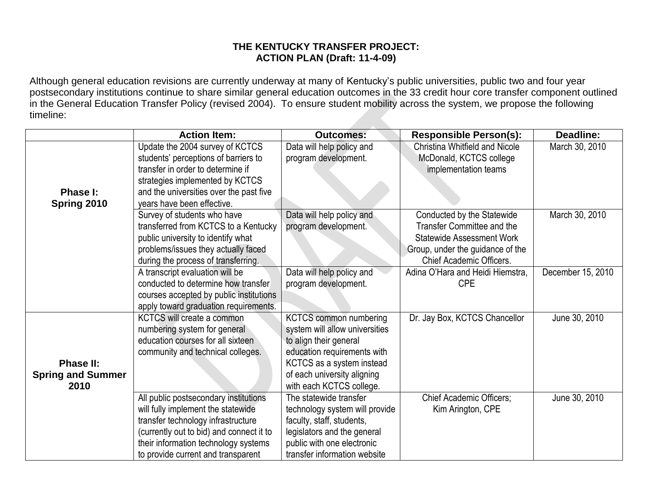## **THE KENTUCKY TRANSFER PROJECT: ACTION PLAN (Draft: 11-4-09)**

Although general education revisions are currently underway at many of Kentucky's public universities, public two and four year postsecondary institutions continue to share similar general education outcomes in the 33 credit hour core transfer component outlined in the General Education Transfer Policy (revised 2004). To ensure student mobility across the system, we propose the following timeline:

|                          | <b>Action Item:</b>                      | <b>Outcomes:</b>               | <b>Responsible Person(s):</b>    | Deadline:         |
|--------------------------|------------------------------------------|--------------------------------|----------------------------------|-------------------|
|                          | Update the 2004 survey of KCTCS          | Data will help policy and      | Christina Whitfield and Nicole   | March 30, 2010    |
|                          | students' perceptions of barriers to     | program development.           | McDonald, KCTCS college          |                   |
|                          | transfer in order to determine if        |                                | implementation teams             |                   |
|                          | strategies implemented by KCTCS          |                                |                                  |                   |
| Phase I:                 | and the universities over the past five  |                                |                                  |                   |
| Spring 2010              | years have been effective.               |                                |                                  |                   |
|                          | Survey of students who have              | Data will help policy and      | Conducted by the Statewide       | March 30, 2010    |
|                          | transferred from KCTCS to a Kentucky     | program development.           | Transfer Committee and the       |                   |
|                          | public university to identify what       |                                | <b>Statewide Assessment Work</b> |                   |
|                          | problems/issues they actually faced      |                                | Group, under the guidance of the |                   |
|                          | during the process of transferring.      |                                | <b>Chief Academic Officers.</b>  |                   |
|                          | A transcript evaluation will be          | Data will help policy and      | Adina O'Hara and Heidi Hiemstra, | December 15, 2010 |
|                          | conducted to determine how transfer      | program development.           | <b>CPE</b>                       |                   |
|                          | courses accepted by public institutions  |                                |                                  |                   |
|                          | apply toward graduation requirements.    |                                |                                  |                   |
|                          | <b>KCTCS</b> will create a common        | <b>KCTCS common numbering</b>  | Dr. Jay Box, KCTCS Chancellor    | June 30, 2010     |
|                          | numbering system for general             | system will allow universities |                                  |                   |
|                          | education courses for all sixteen        | to align their general         |                                  |                   |
|                          | community and technical colleges.        | education requirements with    |                                  |                   |
| <b>Phase II:</b>         |                                          | KCTCS as a system instead      |                                  |                   |
| <b>Spring and Summer</b> |                                          | of each university aligning    |                                  |                   |
| 2010                     |                                          | with each KCTCS college.       |                                  |                   |
|                          | All public postsecondary institutions    | The statewide transfer         | Chief Academic Officers;         | June 30, 2010     |
|                          | will fully implement the statewide       | technology system will provide | Kim Arington, CPE                |                   |
|                          | transfer technology infrastructure       | faculty, staff, students,      |                                  |                   |
|                          | (currently out to bid) and connect it to | legislators and the general    |                                  |                   |
|                          | their information technology systems     | public with one electronic     |                                  |                   |
|                          | to provide current and transparent       | transfer information website   |                                  |                   |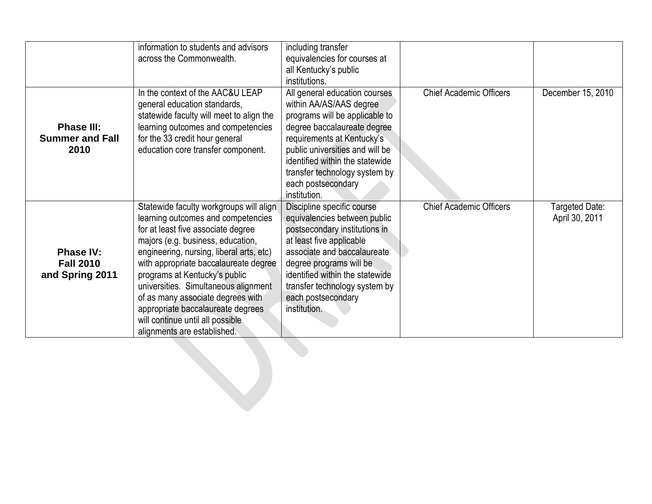|                                                         | information to students and advisors<br>across the Commonwealth.                                                                                                                                                                                                                                                                                                                                                                                                    | including transfer<br>equivalencies for courses at<br>all Kentucky's public<br>institutions.                                                                                                                                                                                                         |                                |                                  |
|---------------------------------------------------------|---------------------------------------------------------------------------------------------------------------------------------------------------------------------------------------------------------------------------------------------------------------------------------------------------------------------------------------------------------------------------------------------------------------------------------------------------------------------|------------------------------------------------------------------------------------------------------------------------------------------------------------------------------------------------------------------------------------------------------------------------------------------------------|--------------------------------|----------------------------------|
| <b>Phase III:</b><br><b>Summer and Fall</b><br>2010     | In the context of the AAC&U LEAP<br>general education standards,<br>statewide faculty will meet to align the<br>learning outcomes and competencies<br>for the 33 credit hour general<br>education core transfer component.                                                                                                                                                                                                                                          | All general education courses<br>within AA/AS/AAS degree<br>programs will be applicable to<br>degree baccalaureate degree<br>requirements at Kentucky's<br>public universities and will be<br>identified within the statewide<br>transfer technology system by<br>each postsecondary<br>institution. | <b>Chief Academic Officers</b> | December 15, 2010                |
| <b>Phase IV:</b><br><b>Fall 2010</b><br>and Spring 2011 | Statewide faculty workgroups will align<br>learning outcomes and competencies<br>for at least five associate degree<br>majors (e.g. business, education,<br>engineering, nursing, liberal arts, etc)<br>with appropriate baccalaureate degree<br>programs at Kentucky's public<br>universities. Simultaneous alignment<br>of as many associate degrees with<br>appropriate baccalaureate degrees<br>will continue until all possible<br>alignments are established. | Discipline specific course<br>equivalencies between public<br>postsecondary institutions in<br>at least five applicable<br>associate and baccalaureate<br>degree programs will be<br>identified within the statewide<br>transfer technology system by<br>each postsecondary<br>institution.          | <b>Chief Academic Officers</b> | Targeted Date:<br>April 30, 2011 |
|                                                         |                                                                                                                                                                                                                                                                                                                                                                                                                                                                     |                                                                                                                                                                                                                                                                                                      |                                |                                  |